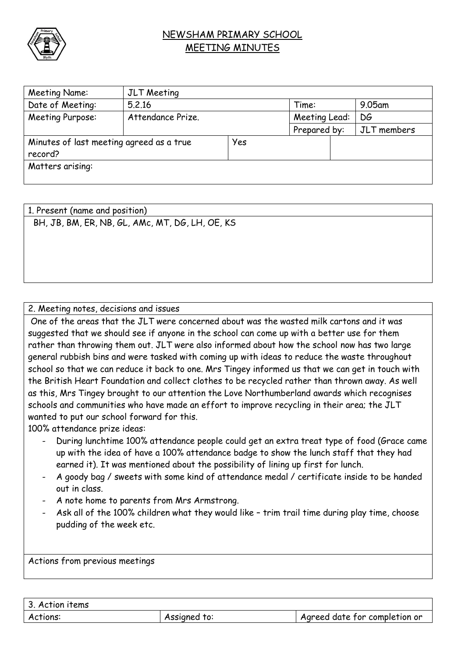

## NEWSHAM PRIMARY SCHOOL MEETING MINUTES

| Meeting Name:                            | JLT Meeting       |     |               |  |             |  |  |
|------------------------------------------|-------------------|-----|---------------|--|-------------|--|--|
| Date of Meeting:                         | 5.2.16            |     | Time:         |  | $9.05$ am   |  |  |
| Meeting Purpose:                         | Attendance Prize. |     | Meeting Lead: |  | DG          |  |  |
|                                          |                   |     | Prepared by:  |  | JLT members |  |  |
| Minutes of last meeting agreed as a true |                   | Yes |               |  |             |  |  |
| record?                                  |                   |     |               |  |             |  |  |
| Matters arising:                         |                   |     |               |  |             |  |  |
|                                          |                   |     |               |  |             |  |  |

1. Present (name and position) BH, JB, BM, ER, NB, GL, AMc, MT, DG, LH, OE, KS

## 2. Meeting notes, decisions and issues

One of the areas that the JLT were concerned about was the wasted milk cartons and it was suggested that we should see if anyone in the school can come up with a better use for them rather than throwing them out. JLT were also informed about how the school now has two large general rubbish bins and were tasked with coming up with ideas to reduce the waste throughout school so that we can reduce it back to one. Mrs Tingey informed us that we can get in touch with the British Heart Foundation and collect clothes to be recycled rather than thrown away. As well as this, Mrs Tingey brought to our attention the Love Northumberland awards which recognises schools and communities who have made an effort to improve recycling in their area; the JLT wanted to put our school forward for this.

100% attendance prize ideas:

- During lunchtime 100% attendance people could get an extra treat type of food (Grace came up with the idea of have a 100% attendance badge to show the lunch staff that they had earned it). It was mentioned about the possibility of lining up first for lunch.
- A goody bag / sweets with some kind of attendance medal / certificate inside to be handed out in class.
- A note home to parents from Mrs Armstrong.
- Ask all of the 100% children what they would like trim trail time during play time, choose pudding of the week etc.

Actions from previous meetings

| 3. Action items |              |                               |
|-----------------|--------------|-------------------------------|
| Actions:        | Assigned to: | Agreed date for completion or |